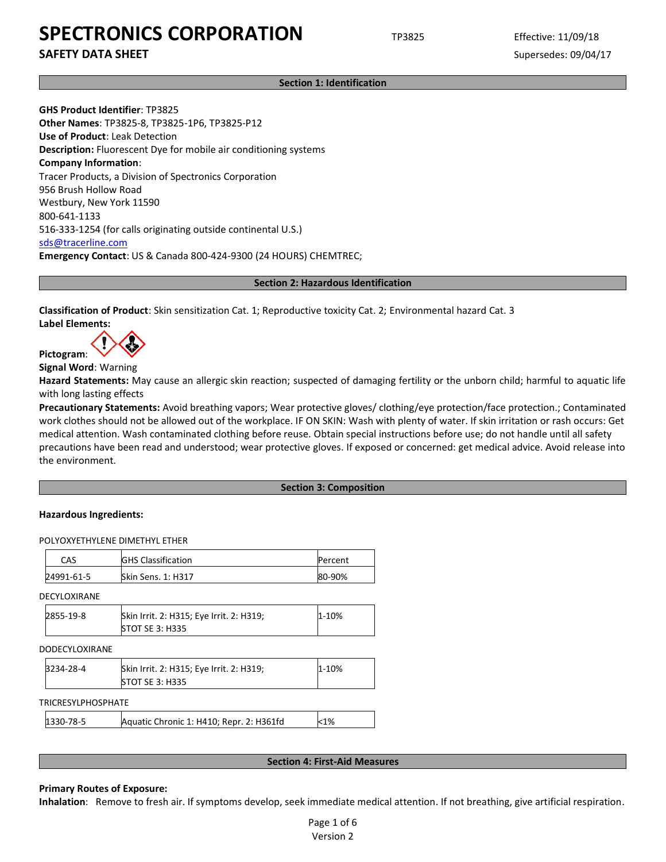**SAFETY DATA SHEET** SUPERFOUR SUPERFOUR SUPERFOUR SUPERFOUR SUPERFOUR SUPERFOUR SUPERFOUR SUPERFOUR SUPERFOUR SUPERFOUR SUPERFOUR SUPERFOUR SUPERFOUR SUPERFOUR SUPERFOUR SUPERFOUR SUPERFOUR SUPERFOUR SUPERFOUR SUPERFOUR SU

**Section 1: Identification**

**GHS Product Identifier**: TP3825 **Other Names**: TP3825-8, TP3825-1P6, TP3825-P12 **Use of Product**: Leak Detection **Description:** Fluorescent Dye for mobile air conditioning systems **Company Information**: Tracer Products, a Division of Spectronics Corporation 956 Brush Hollow Road Westbury, New York 11590 800-641-1133 516-333-1254 (for calls originating outside continental U.S.) [sds@tracerline.com](mailto:sds@tracerline.com) **Emergency Contact**: US & Canada 800-424-9300 (24 HOURS) CHEMTREC;

**Section 2: Hazardous Identification**

**Classification of Product**: Skin sensitization Cat. 1; Reproductive toxicity Cat. 2; Environmental hazard Cat. 3 **Label Elements:** 

**Pictogram**:

**Signal Word**: Warning

**Hazard Statements:** May cause an allergic skin reaction; suspected of damaging fertility or the unborn child; harmful to aquatic life with long lasting effects

**Precautionary Statements:** Avoid breathing vapors; Wear protective gloves/ clothing/eye protection/face protection.; Contaminated work clothes should not be allowed out of the workplace. IF ON SKIN: Wash with plenty of water. If skin irritation or rash occurs: Get medical attention. Wash contaminated clothing before reuse. Obtain special instructions before use; do not handle until all safety precautions have been read and understood; wear protective gloves. If exposed or concerned: get medical advice. Avoid release into the environment.

#### **Section 3: Composition**

#### **Hazardous Ingredients:**

POLYOXYETHYLENE DIMETHYL ETHER

| CAS        | <b>GHS Classification</b> | Percent |
|------------|---------------------------|---------|
| 24991-61-5 | <b>Skin Sens. 1: H317</b> | 80-90%  |

DECYLOXIRANE

| 2855-19-8 | Skin Irrit. 2: H315; Eye Irrit. 2: H319; | $1 - 10%$ |
|-----------|------------------------------------------|-----------|
|           | <b>STOT SE 3: H335</b>                   |           |

#### DODECYLOXIRANE

| 3234-28-4 | Skin Irrit. 2: H315; Eye Irrit. 2: H319; | 1-10% |
|-----------|------------------------------------------|-------|
|           | <b>STOT SE 3: H335</b>                   |       |

TRICRESYLPHOSPHATE

| 1330-78-5 | Aquatic Chronic 1: H410; Repr. 2: H361fd | $1%$ |
|-----------|------------------------------------------|------|
|-----------|------------------------------------------|------|

#### **Section 4: First-Aid Measures**

#### **Primary Routes of Exposure:**

**Inhalation**: Remove to fresh air. If symptoms develop, seek immediate medical attention. If not breathing, give artificial respiration.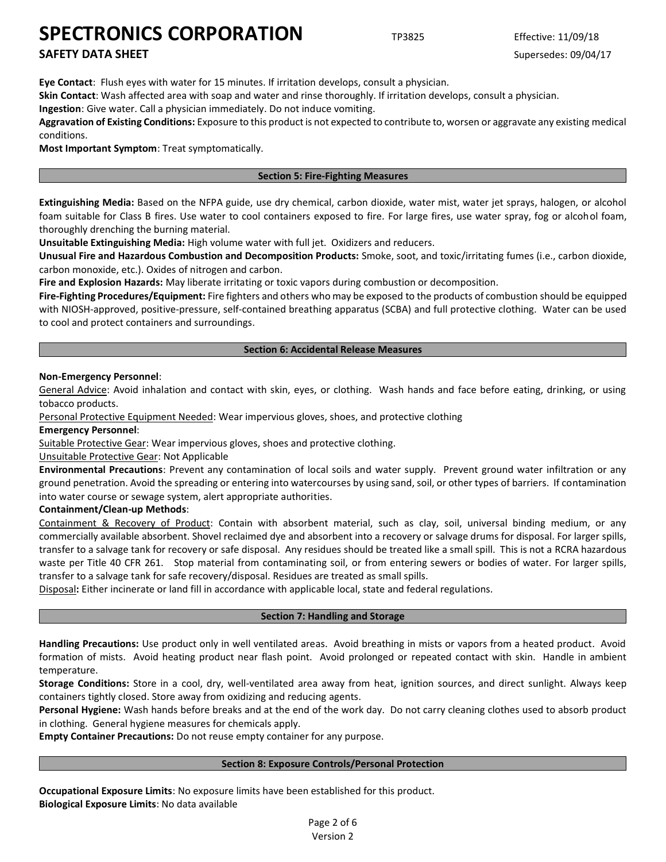# **SAFETY DATA SHEET** SUPERFOUR SUPERFOUR SUPERFOUR SUPERFOUR SUPERFOUR SUPERFOUR SUPERFOUR SUPERFOUR SUPERFOUR SUPERFOUR SUPERFOUR SUPERFOUR SUPERFOUR SUPERFOUR SUPERFOUR SUPERFOUR SUPERFOUR SUPERFOUR SUPERFOUR SUPERFOUR SU

**Eye Contact**: Flush eyes with water for 15 minutes. If irritation develops, consult a physician.

**Skin Contact**: Wash affected area with soap and water and rinse thoroughly. If irritation develops, consult a physician.

**Ingestion**: Give water. Call a physician immediately. Do not induce vomiting.

**Aggravation of Existing Conditions:** Exposure to this product is not expected to contribute to, worsen or aggravate any existing medical conditions.

**Most Important Symptom**: Treat symptomatically.

### **Section 5: Fire-Fighting Measures**

**Extinguishing Media:** Based on the NFPA guide, use dry chemical, carbon dioxide, water mist, water jet sprays, halogen, or alcohol foam suitable for Class B fires. Use water to cool containers exposed to fire. For large fires, use water spray, fog or alcohol foam, thoroughly drenching the burning material.

**Unsuitable Extinguishing Media:** High volume water with full jet. Oxidizers and reducers.

**Unusual Fire and Hazardous Combustion and Decomposition Products:** Smoke, soot, and toxic/irritating fumes (i.e., carbon dioxide, carbon monoxide, etc.). Oxides of nitrogen and carbon.

**Fire and Explosion Hazards:** May liberate irritating or toxic vapors during combustion or decomposition.

**Fire-Fighting Procedures/Equipment:** Fire fighters and others who may be exposed to the products of combustion should be equipped with NIOSH-approved, positive-pressure, self-contained breathing apparatus (SCBA) and full protective clothing. Water can be used to cool and protect containers and surroundings.

### **Section 6: Accidental Release Measures**

### **Non-Emergency Personnel**:

General Advice: Avoid inhalation and contact with skin, eyes, or clothing. Wash hands and face before eating, drinking, or using tobacco products.

Personal Protective Equipment Needed: Wear impervious gloves, shoes, and protective clothing

**Emergency Personnel**:

Suitable Protective Gear: Wear impervious gloves, shoes and protective clothing.

## Unsuitable Protective Gear: Not Applicable

**Environmental Precautions**: Prevent any contamination of local soils and water supply. Prevent ground water infiltration or any ground penetration. Avoid the spreading or entering into watercourses by using sand, soil, or other types of barriers. If contamination into water course or sewage system, alert appropriate authorities.

#### **Containment/Clean-up Methods**:

Containment & Recovery of Product: Contain with absorbent material, such as clay, soil, universal binding medium, or any commercially available absorbent. Shovel reclaimed dye and absorbent into a recovery or salvage drums for disposal. For larger spills, transfer to a salvage tank for recovery or safe disposal. Any residues should be treated like a small spill. This is not a RCRA hazardous waste per Title 40 CFR 261. Stop material from contaminating soil, or from entering sewers or bodies of water. For larger spills, transfer to a salvage tank for safe recovery/disposal. Residues are treated as small spills.

Disposal**:** Either incinerate or land fill in accordance with applicable local, state and federal regulations.

## **Section 7: Handling and Storage**

**Handling Precautions:** Use product only in well ventilated areas. Avoid breathing in mists or vapors from a heated product. Avoid formation of mists. Avoid heating product near flash point. Avoid prolonged or repeated contact with skin. Handle in ambient temperature.

**Storage Conditions:** Store in a cool, dry, well-ventilated area away from heat, ignition sources, and direct sunlight. Always keep containers tightly closed. Store away from oxidizing and reducing agents.

**Personal Hygiene:** Wash hands before breaks and at the end of the work day. Do not carry cleaning clothes used to absorb product in clothing. General hygiene measures for chemicals apply.

**Empty Container Precautions:** Do not reuse empty container for any purpose.

#### **Section 8: Exposure Controls/Personal Protection**

**Occupational Exposure Limits**: No exposure limits have been established for this product. **Biological Exposure Limits**: No data available

> Page 2 of 6 Version 2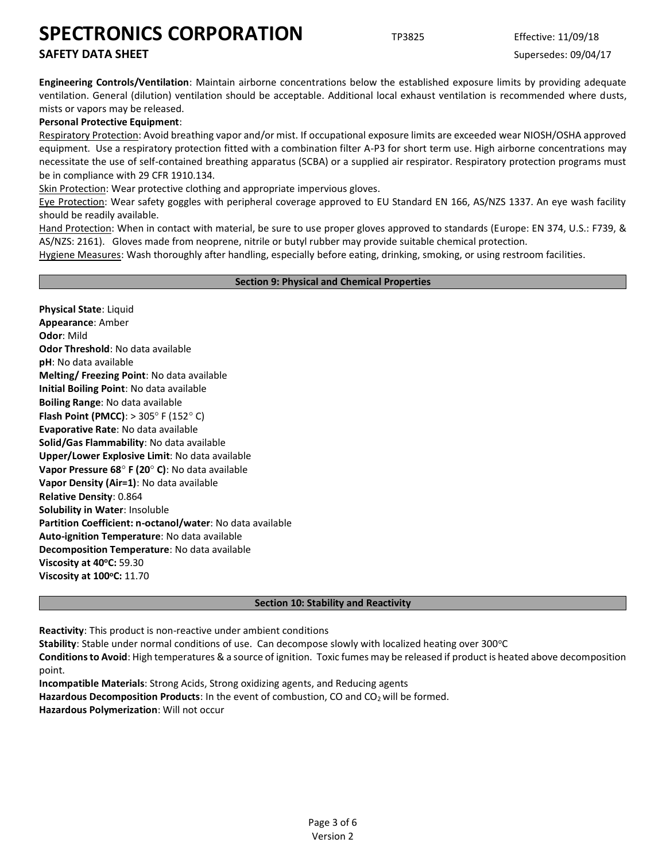# **SAFETY DATA SHEET** SUPERFOUR SUPERFOUR SUPERFOUR SUPERFOUR SUPERFOUR SUPERFOUR SUPERFOUR SUPERFOUR SUPERFOUR SUPERFOUR SUPERFOUR SUPERFOUR SUPERFOUR SUPERFOUR SUPERFOUR SUPERFOUR SUPERFOUR SUPERFOUR SUPERFOUR SUPERFOUR SU

**Engineering Controls/Ventilation**: Maintain airborne concentrations below the established exposure limits by providing adequate ventilation. General (dilution) ventilation should be acceptable. Additional local exhaust ventilation is recommended where dusts, mists or vapors may be released.

## **Personal Protective Equipment**:

Respiratory Protection: Avoid breathing vapor and/or mist. If occupational exposure limits are exceeded wear NIOSH/OSHA approved equipment. Use a respiratory protection fitted with a combination filter A-P3 for short term use. High airborne concentrations may necessitate the use of self-contained breathing apparatus (SCBA) or a supplied air respirator. Respiratory protection programs must be in compliance with 29 CFR 1910.134.

Skin Protection: Wear protective clothing and appropriate impervious gloves.

Eye Protection: Wear safety goggles with peripheral coverage approved to EU Standard EN 166, AS/NZS 1337. An eye wash facility should be readily available.

Hand Protection: When in contact with material, be sure to use proper gloves approved to standards (Europe: EN 374, U.S.: F739, & AS/NZS: 2161). Gloves made from neoprene, nitrile or butyl rubber may provide suitable chemical protection.

Hygiene Measures: Wash thoroughly after handling, especially before eating, drinking, smoking, or using restroom facilities.

### **Section 9: Physical and Chemical Properties**

**Physical State**: Liquid **Appearance**: Amber **Odor**: Mild **Odor Threshold**: No data available **pH**: No data available **Melting/ Freezing Point**: No data available **Initial Boiling Point**: No data available **Boiling Range**: No data available **Flash Point (PMCC)**: > 305° F (152° C) **Evaporative Rate**: No data available **Solid/Gas Flammability**: No data available **Upper/Lower Explosive Limit**: No data available **Vapor Pressure 68° F (20° C): No data available Vapor Density (Air=1)**: No data available **Relative Density**: 0.864 **Solubility in Water**: Insoluble **Partition Coefficient: n-octanol/water**: No data available **Auto-ignition Temperature**: No data available **Decomposition Temperature**: No data available **Viscosity at 40<sup>o</sup>C:** 59.30 **Viscosity at 100<sup>o</sup>C:** 11.70

#### **Section 10: Stability and Reactivity**

**Reactivity**: This product is non-reactive under ambient conditions

**Stability**: Stable under normal conditions of use. Can decompose slowly with localized heating over 300°C

**Conditions to Avoid**: High temperatures & a source of ignition. Toxic fumes may be released if product is heated above decomposition point.

**Incompatible Materials**: Strong Acids, Strong oxidizing agents, and Reducing agents **Hazardous Decomposition Products**: In the event of combustion, CO and CO<sub>2</sub> will be formed. **Hazardous Polymerization**: Will not occur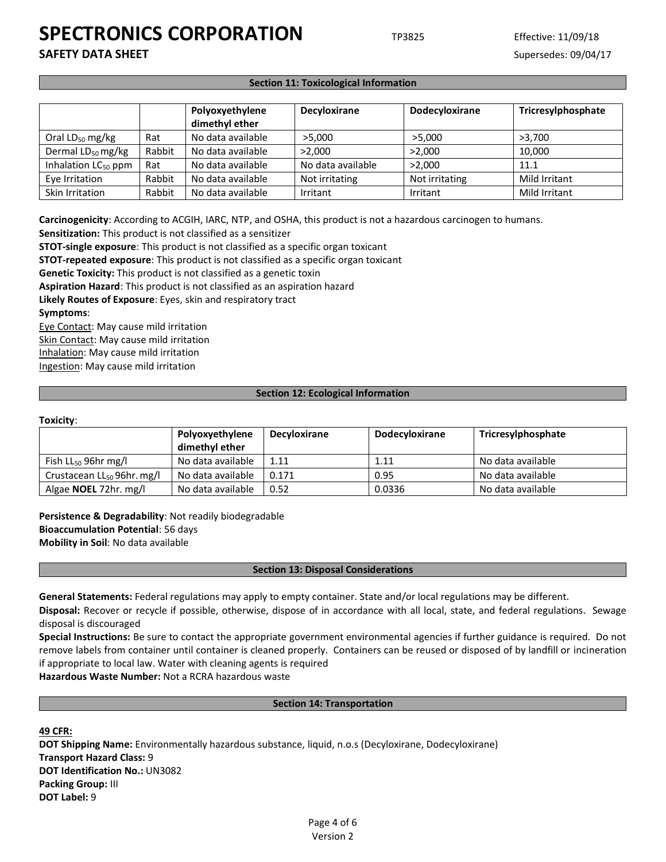**SAFETY DATA SHEET** SUPERFOUR SUPERFOUR SUPERFOUR SUPERFOUR SUPERFOUR SUPERFOUR SUPERFOUR SUPERFOUR SUPERFOUR SUPERFOUR SUPERFOUR SUPERFOUR SUPERFOUR SUPERFOUR SUPERFOUR SUPERFOUR SUPERFOUR SUPERFOUR SUPERFOUR SUPERFOUR SU

#### **Section 11: Toxicological Information**

|                                 |        | Polyoxyethylene<br>dimethyl ether | <b>Decyloxirane</b> | Dodecyloxirane | Tricresylphosphate |
|---------------------------------|--------|-----------------------------------|---------------------|----------------|--------------------|
| Oral $LD_{50}$ mg/kg            | Rat    | No data available                 | >5.000              | >5,000         | >3.700             |
| Dermal LD <sub>50</sub> mg/kg   | Rabbit | No data available                 | >2.000              | >2.000         | 10.000             |
| Inhalation LC <sub>50</sub> ppm | Rat    | No data available                 | No data available   | >2.000         | 11.1               |
| Eye Irritation                  | Rabbit | No data available                 | Not irritating      | Not irritating | Mild Irritant      |
| Skin Irritation                 | Rabbit | No data available                 | Irritant            | Irritant       | Mild Irritant      |

**Carcinogenicity**: According to ACGIH, IARC, NTP, and OSHA, this product is not a hazardous carcinogen to humans.

**Sensitization:** This product is not classified as a sensitizer

**STOT-single exposure**: This product is not classified as a specific organ toxicant

**STOT-repeated exposure**: This product is not classified as a specific organ toxicant

**Genetic Toxicity:** This product is not classified as a genetic toxin

**Aspiration Hazard**: This product is not classified as an aspiration hazard

**Likely Routes of Exposure**: Eyes, skin and respiratory tract

#### **Symptoms**:

Eye Contact: May cause mild irritation Skin Contact: May cause mild irritation Inhalation: May cause mild irritation Ingestion: May cause mild irritation

#### **Section 12: Ecological Information**

### **Toxicity**:

|                                 | Polyoxyethylene   | <b>Decyloxirane</b> | <b>Dodecyloxirane</b> | Tricresylphosphate |
|---------------------------------|-------------------|---------------------|-----------------------|--------------------|
|                                 | dimethyl ether    |                     |                       |                    |
| Fish $LL_{50}$ 96hr mg/l        | No data available | 1.11                | 1.11                  | No data available  |
| Crustacean $LL_{50}$ 96hr. mg/l | No data available | 0.171               | 0.95                  | No data available  |
| Algae <b>NOEL</b> 72hr. mg/l    | No data available | 0.52                | 0.0336                | No data available  |

**Persistence & Degradability**: Not readily biodegradable **Bioaccumulation Potential**: 56 days **Mobility in Soil**: No data available

#### **Section 13: Disposal Considerations**

**General Statements:** Federal regulations may apply to empty container. State and/or local regulations may be different.

**Disposal:** Recover or recycle if possible, otherwise, dispose of in accordance with all local, state, and federal regulations. Sewage disposal is discouraged

**Special Instructions:** Be sure to contact the appropriate government environmental agencies if further guidance is required. Do not remove labels from container until container is cleaned properly. Containers can be reused or disposed of by landfill or incineration if appropriate to local law. Water with cleaning agents is required

**Hazardous Waste Number:** Not a RCRA hazardous waste

#### **Section 14: Transportation**

**49 CFR:**

**DOT Shipping Name:** Environmentally hazardous substance, liquid, n.o.s (Decyloxirane, Dodecyloxirane) **Transport Hazard Class:** 9 **DOT Identification No.:** UN3082 **Packing Group:** III **DOT Label:** 9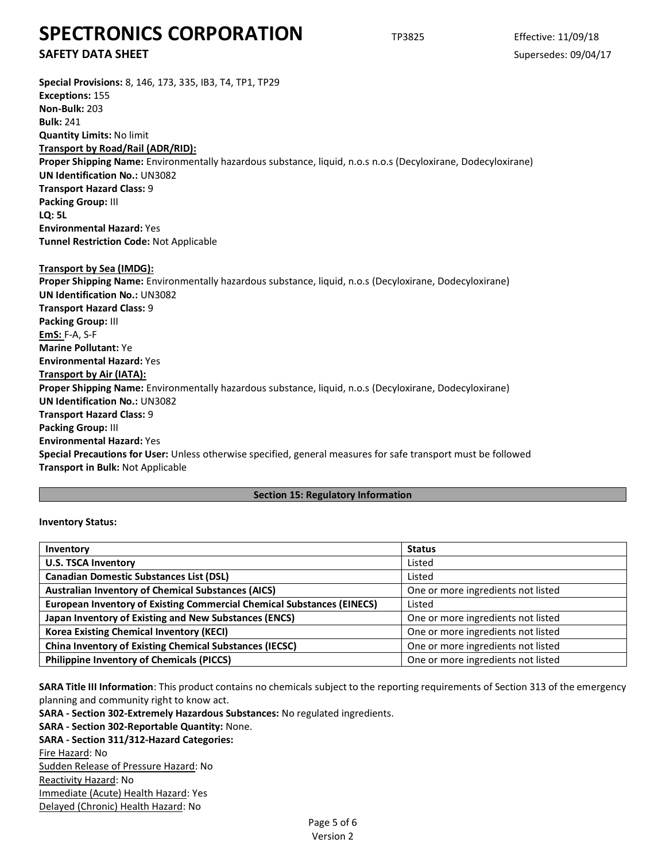# **SAFETY DATA SHEET** SUPERFOUR SUPERFOUR SUPERFOUR SUPERFOUR SUPERFOUR SUPERFOUR SUPERFOUR SUPERFOUR SUPERFOUR SUPERFOUR SUPERFOUR SUPERFOUR SUPERFOUR SUPERFOUR SUPERFOUR SUPERFOUR SUPERFOUR SUPERFOUR SUPERFOUR SUPERFOUR SU

**Special Provisions:** 8, 146, 173, 335, IB3, T4, TP1, TP29 **Exceptions:** 155 **Non-Bulk:** 203 **Bulk:** 241 **Quantity Limits:** No limit **Transport by Road/Rail (ADR/RID): Proper Shipping Name:** Environmentally hazardous substance, liquid, n.o.s n.o.s (Decyloxirane, Dodecyloxirane) **UN Identification No.:** UN3082 **Transport Hazard Class:** 9 **Packing Group:** III **LQ: 5L Environmental Hazard:** Yes **Tunnel Restriction Code:** Not Applicable **Transport by Sea (IMDG): Proper Shipping Name:** Environmentally hazardous substance, liquid, n.o.s (Decyloxirane, Dodecyloxirane) **UN Identification No.:** UN3082 **Transport Hazard Class:** 9 **Packing Group:** III **EmS:** F-A, S-F **Marine Pollutant:** Ye **Environmental Hazard:** Yes **Transport by Air (IATA): Proper Shipping Name:** Environmentally hazardous substance, liquid, n.o.s (Decyloxirane, Dodecyloxirane) **UN Identification No.:** UN3082 **Transport Hazard Class:** 9 **Packing Group:** III **Environmental Hazard:** Yes **Special Precautions for User:** Unless otherwise specified, general measures for safe transport must be followed **Transport in Bulk:** Not Applicable

#### **Section 15: Regulatory Information**

#### **Inventory Status:**

| Inventory                                                                     | <b>Status</b>                      |  |  |
|-------------------------------------------------------------------------------|------------------------------------|--|--|
| <b>U.S. TSCA Inventory</b>                                                    | Listed                             |  |  |
| <b>Canadian Domestic Substances List (DSL)</b>                                | Listed                             |  |  |
| <b>Australian Inventory of Chemical Substances (AICS)</b>                     | One or more ingredients not listed |  |  |
| <b>European Inventory of Existing Commercial Chemical Substances (EINECS)</b> | Listed                             |  |  |
| Japan Inventory of Existing and New Substances (ENCS)                         | One or more ingredients not listed |  |  |
| <b>Korea Existing Chemical Inventory (KECI)</b>                               | One or more ingredients not listed |  |  |
| <b>China Inventory of Existing Chemical Substances (IECSC)</b>                | One or more ingredients not listed |  |  |
| <b>Philippine Inventory of Chemicals (PICCS)</b>                              | One or more ingredients not listed |  |  |

**SARA Title III Information**: This product contains no chemicals subject to the reporting requirements of Section 313 of the emergency planning and community right to know act.

**SARA - Section 302-Extremely Hazardous Substances:** No regulated ingredients.

#### **SARA - Section 302-Reportable Quantity:** None.

**SARA - Section 311/312-Hazard Categories:** Fire Hazard: No Sudden Release of Pressure Hazard: No Reactivity Hazard: No Immediate (Acute) Health Hazard: Yes Delayed (Chronic) Health Hazard: No